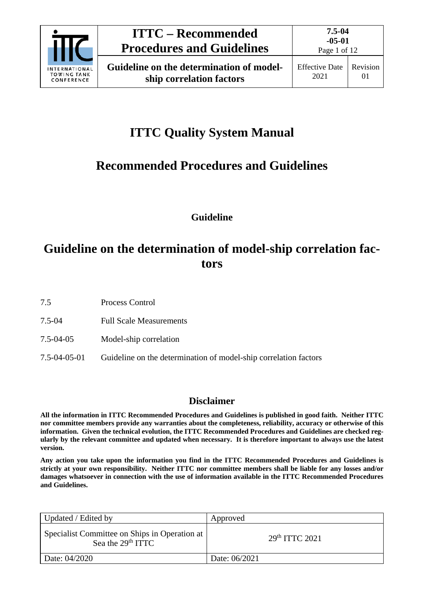

# **ITTC Quality System Manual**

# **Recommended Procedures and Guidelines**

**Guideline**

# **Guideline on the determination of model-ship correlation factors**

- 7.5 Process Control
- 7.5-04 Full Scale Measurements
- 7.5-04-05 Model-ship correlation
- 7.5-04-05-01 Guideline on the determination of model-ship correlation factors

# **Disclaimer**

**All the information in ITTC Recommended Procedures and Guidelines is published in good faith. Neither ITTC nor committee members provide any warranties about the completeness, reliability, accuracy or otherwise of this information. Given the technical evolution, the ITTC Recommended Procedures and Guidelines are checked regularly by the relevant committee and updated when necessary. It is therefore important to always use the latest version.**

**Any action you take upon the information you find in the ITTC Recommended Procedures and Guidelines is strictly at your own responsibility. Neither ITTC nor committee members shall be liable for any losses and/or damages whatsoever in connection with the use of information available in the ITTC Recommended Procedures and Guidelines.**

| Updated / Edited by                                                  | Approved         |
|----------------------------------------------------------------------|------------------|
| Specialist Committee on Ships in Operation at<br>Sea the $29th ITTC$ | $29th$ ITTC 2021 |
| Date: 04/2020                                                        | Date: 06/2021    |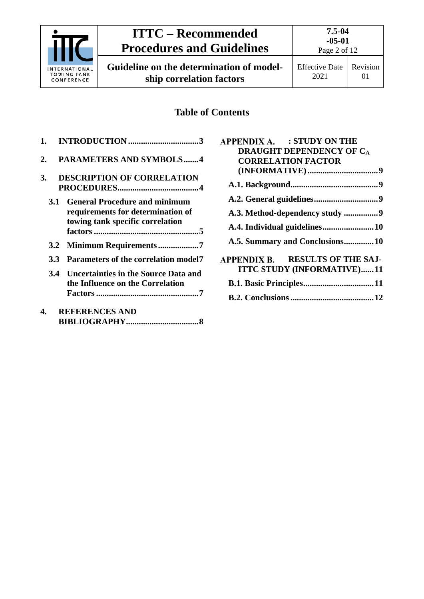

# **ITTC – Recommended Procedures and Guidelines**

**Guideline on the determination of modelship correlation factors**

Page 2 of 12

# **Table of Contents**

| 1.               |                                                                                                               |
|------------------|---------------------------------------------------------------------------------------------------------------|
| 2.               | <b>PARAMETERS AND SYMBOLS4</b>                                                                                |
| 3.               | <b>DESCRIPTION OF CORRELATION</b>                                                                             |
| <b>3.1</b>       | <b>General Procedure and minimum</b><br>requirements for determination of<br>towing tank specific correlation |
|                  |                                                                                                               |
| 3.3 <sup>2</sup> | Parameters of the correlation model7                                                                          |
| 3.4              | <b>Uncertainties in the Source Data and</b><br>the Influence on the Correlation                               |
| 4.               | <b>REFERENCES AND</b>                                                                                         |

| NET ENERGED ARD |
|-----------------|
|                 |

| APPENDIX A. : STUDY ON THE        |
|-----------------------------------|
| <b>DRAUGHT DEPENDENCY OF CA</b>   |
| <b>CORRELATION FACTOR</b>         |
|                                   |
|                                   |
|                                   |
| A.3. Method-dependency study 9    |
|                                   |
| A.5. Summary and Conclusions10    |
| APPENDIX B. RESULTS OF THE SAJ-   |
| <b>ITTC STUDY (INFORMATIVE)11</b> |
|                                   |
|                                   |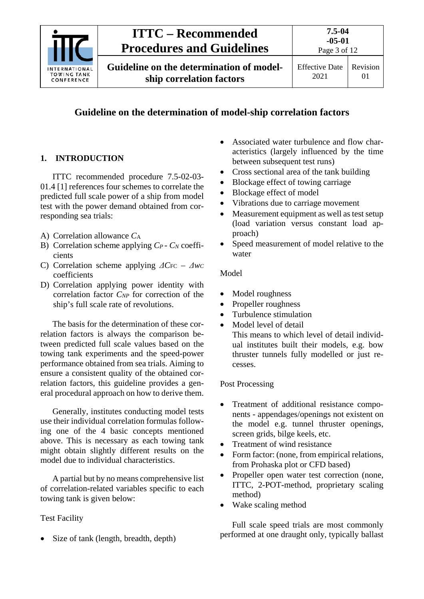

# **Guideline on the determination of model-ship correlation factors**

# <span id="page-2-0"></span>**1. INTRODUCTION**

ITTC recommended procedure 7.5-02-03- 01.4 [1] references four schemes to correlate the predicted full scale power of a ship from model test with the power demand obtained from corresponding sea trials:

- A) Correlation allowance *C*<sup>A</sup>
- B) Correlation scheme applying *CP CN* coefficients
- C) Correlation scheme applying  $\Delta C$ <sub>FC</sub>  $\Delta$ *wc* coefficients
- D) Correlation applying power identity with correlation factor *C<sub>NP</sub>* for correction of the ship's full scale rate of revolutions.

The basis for the determination of these correlation factors is always the comparison between predicted full scale values based on the towing tank experiments and the speed-power performance obtained from sea trials. Aiming to ensure a consistent quality of the obtained correlation factors, this guideline provides a general procedural approach on how to derive them.

Generally, institutes conducting model tests use their individual correlation formulas following one of the 4 basic concepts mentioned above. This is necessary as each towing tank might obtain slightly different results on the model due to individual characteristics.

A partial but by no means comprehensive list of correlation-related variables specific to each towing tank is given below:

# Test Facility

• Size of tank (length, breadth, depth)

- Associated water turbulence and flow characteristics (largely influenced by the time between subsequent test runs)
- Cross sectional area of the tank building
- Blockage effect of towing carriage
- Blockage effect of model
- Vibrations due to carriage movement
- Measurement equipment as well as test setup (load variation versus constant load approach)
- Speed measurement of model relative to the water

## Model

- Model roughness
- Propeller roughness
- Turbulence stimulation
- Model level of detail This means to which level of detail individual institutes built their models, e.g. bow thruster tunnels fully modelled or just recesses.

## Post Processing

- Treatment of additional resistance components - appendages/openings not existent on the model e.g. tunnel thruster openings, screen grids, bilge keels, etc.
- Treatment of wind resistance
- Form factor: (none, from empirical relations, from Prohaska plot or CFD based)
- Propeller open water test correction (none, ITTC, 2-POT-method, proprietary scaling method)
- Wake scaling method

Full scale speed trials are most commonly performed at one draught only, typically ballast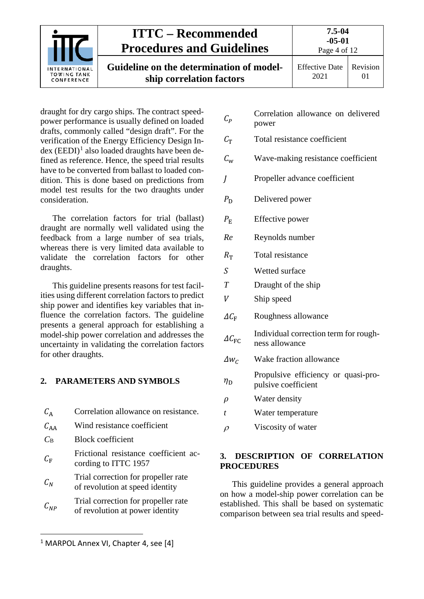| INTERNATIONAL<br><b>TOWING TANK</b><br>CONFERENCE | <b>ITTC – Recommended</b><br><b>Procedures and Guidelines</b>        | 7.5-04<br>$-05-01$<br>Page 4 of 12 |          |
|---------------------------------------------------|----------------------------------------------------------------------|------------------------------------|----------|
|                                                   | Guideline on the determination of model-<br>ship correlation factors | <b>Effective Date</b><br>2021      | Revision |

draught for dry cargo ships. The contract speedpower performance is usually defined on loaded drafts, commonly called "design draft". For the verification of the Energy Efficiency Design In $dex$  (EEDI)<sup>[1](#page-3-2)</sup> also loaded draughts have been defined as reference. Hence, the speed trial results have to be converted from ballast to loaded condition. This is done based on predictions from model test results for the two draughts under consideration.

The correlation factors for trial (ballast) draught are normally well validated using the feedback from a large number of sea trials, whereas there is very limited data available to validate the correlation factors for other draughts.

This guideline presents reasons for test facilities using different correlation factors to predict ship power and identifies key variables that influence the correlation factors. The guideline presents a general approach for establishing a model-ship power correlation and addresses the uncertainty in validating the correlation factors for other draughts.

# <span id="page-3-0"></span>**2. PARAMETERS AND SYMBOLS**

| $C_{\rm A}$ | Correlation allowance on resistance.                                   |
|-------------|------------------------------------------------------------------------|
| $C_{AA}$    | Wind resistance coefficient                                            |
| $C_{\rm B}$ | <b>Block coefficient</b>                                               |
| $C_{\rm F}$ | Frictional resistance coefficient ac-<br>cording to ITTC 1957          |
| $C_N$       | Trial correction for propeller rate<br>of revolution at speed identity |
| $C_{NP}$    | Trial correction for propeller rate<br>of revolution at power identity |

<span id="page-3-2"></span><sup>&</sup>lt;sup>1</sup> MARPOL Annex VI, Chapter 4, see [4]

 $\overline{a}$ 

- $C_P$  Correlation allowance on delivered power
- $C_{\text{T}}$  Total resistance coefficient
- $C_w$  Wave-making resistance coefficient
- Propeller advance coefficient
- $P_D$  Delivered power
- $P_{\rm F}$  Effective power
- *Re* Reynolds number
- $R_{\rm T}$  Total resistance
- S Wetted surface
- *T* Draught of the ship
- V Ship speed
- $\Delta C_{\rm F}$  Roughness allowance
- $\Delta C_{\rm EC}$ Individual correction term for roughness allowance
- $\Delta w_c$  Wake fraction allowance
- $\eta_{\rm D}$ Propulsive efficiency or quasi-propulsive coefficient
- $\rho$  Water density
- *t* Water temperature
- <span id="page-3-1"></span> $\rho$  Viscosity of water

# **3. DESCRIPTION OF CORRELATION PROCEDURES**

This guideline provides a general approach on how a model-ship power correlation can be established. This shall be based on systematic comparison between sea trial results and speed-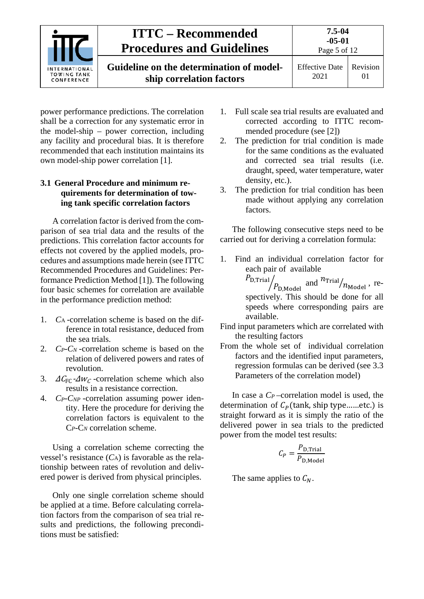| <b>INTERNATIONAL</b><br><b>TOWING TANK</b><br>CONFERENCE | <b>ITTC</b> – Recommended<br><b>Procedures and Guidelines</b>        | 7.5-04<br>$-05-01$<br>Page 5 of 12 |          |
|----------------------------------------------------------|----------------------------------------------------------------------|------------------------------------|----------|
|                                                          | Guideline on the determination of model-<br>ship correlation factors | <b>Effective Date</b><br>2021      | Revision |

power performance predictions. The correlation shall be a correction for any systematic error in the model-ship – power correction, including any facility and procedural bias. It is therefore recommended that each institution maintains its own model-ship power correlation [1].

# <span id="page-4-0"></span>**3.1 General Procedure and minimum requirements for determination of towing tank specific correlation factors**

A correlation factor is derived from the comparison of sea trial data and the results of the predictions. This correlation factor accounts for effects not covered by the applied models, procedures and assumptions made herein (see ITTC Recommended Procedures and Guidelines: Performance Prediction Method [1]). The following four basic schemes for correlation are available in the performance prediction method:

- 1. *C*<sup>A</sup> -correlation scheme is based on the difference in total resistance, deduced from the sea trials.
- 2. *CP-CN* -correlation scheme is based on the relation of delivered powers and rates of revolution.
- 3.  $\Delta C_{\text{FC}}$ - $\Delta w_C$ -correlation scheme which also results in a resistance correction.
- 4. *CP-CNP* -correlation assuming power identity. Here the procedure for deriving the correlation factors is equivalent to the C*P*-C*<sup>N</sup>* correlation scheme.

Using a correlation scheme correcting the vessel's resistance  $(C_A)$  is favorable as the relationship between rates of revolution and delivered power is derived from physical principles.

Only one single correlation scheme should be applied at a time. Before calculating correlation factors from the comparison of sea trial results and predictions, the following preconditions must be satisfied:

- 1. Full scale sea trial results are evaluated and corrected according to ITTC recommended procedure (see [2])
- 2. The prediction for trial condition is made for the same conditions as the evaluated and corrected sea trial results (i.e. draught, speed, water temperature, water density, etc.).
- 3. The prediction for trial condition has been made without applying any correlation factors.

The following consecutive steps need to be carried out for deriving a correlation formula:

1. Find an individual correlation factor for each pair of available

> $P_{\text{D,Trial}}/P_{\text{D, Model}}$  and  $n_{\text{Trial}}/n_{\text{Model}}$ , respectively. This should be done for all speeds where corresponding pairs are available.

- Find input parameters which are correlated with the resulting factors
- From the whole set of individual correlation factors and the identified input parameters, regression formulas can be derived (see [3.3](#page-6-1) [Parameters of the correlation model\)](#page-6-1)

In case a *CP* –correlation model is used, the determination of  $C_p$ (tank, ship type......etc.) is straight forward as it is simply the ratio of the delivered power in sea trials to the predicted power from the model test results:

$$
C_P = \frac{P_{\text{D,Trial}}}{P_{\text{D,Model}}}
$$

The same applies to  $C_N$ .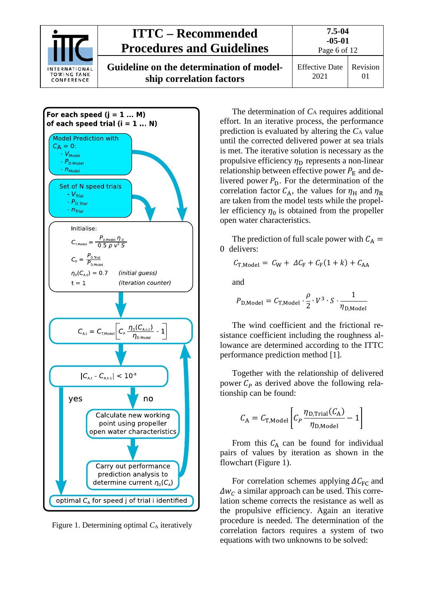| <b>INTERNATIONAL</b><br><b>TOWING TANK</b><br>CONFERENCE | <b>ITTC – Recommended</b><br><b>Procedures and Guidelines</b>        | 7.5-04<br>$-05-01$<br>Page 6 of 12 |          |
|----------------------------------------------------------|----------------------------------------------------------------------|------------------------------------|----------|
|                                                          | Guideline on the determination of model-<br>ship correlation factors | <b>Effective Date</b><br>2021      | Revision |



<span id="page-5-0"></span>Figure 1. Determining optimal  $C_A$  iteratively

The determination of *C*<sup>A</sup> requires additional effort. In an iterative process, the performance prediction is evaluated by altering the *C*<sup>A</sup> value until the corrected delivered power at sea trials is met. The iterative solution is necessary as the propulsive efficiency  $\eta_D$  represents a non-linear relationship between effective power  $P_{\rm E}$  and delivered power  $P_D$ . For the determination of the correlation factor  $C_A$ , the values for  $\eta_H$  and  $\eta_R$ are taken from the model tests while the propeller efficiency  $\eta_0$  is obtained from the propeller open water characteristics.

The prediction of full scale power with  $C_A$  = 0 delivers:

$$
C_{\text{T,Model}} = C_{\text{W}} + \Delta C_{\text{F}} + C_{\text{F}}(1+k) + C_{\text{AA}}
$$

and

$$
P_{\text{D,Model}} = C_{\text{T,Model}} \cdot \frac{\rho}{2} \cdot V^3 \cdot S \cdot \frac{1}{\eta_{\text{D,Model}}}
$$

The wind coefficient and the frictional resistance coefficient including the roughness allowance are determined according to the ITTC performance prediction method [1].

Together with the relationship of delivered power  $C_p$  as derived above the following relationship can be found:

$$
C_{\rm A} = C_{\rm T, Model} \left[ C_P \frac{\eta_{\rm D,Trial}(C_{\rm A})}{\eta_{\rm D, Model}} - 1 \right]
$$

From this  $C_A$  can be found for individual pairs of values by iteration as shown in the flowchart [\(Figure 1\)](#page-5-0).

For correlation schemes applying  $\Delta C_{\text{FC}}$  and  $\Delta w_c$  a similar approach can be used. This correlation scheme corrects the resistance as well as the propulsive efficiency. Again an iterative procedure is needed. The determination of the correlation factors requires a system of two equations with two unknowns to be solved: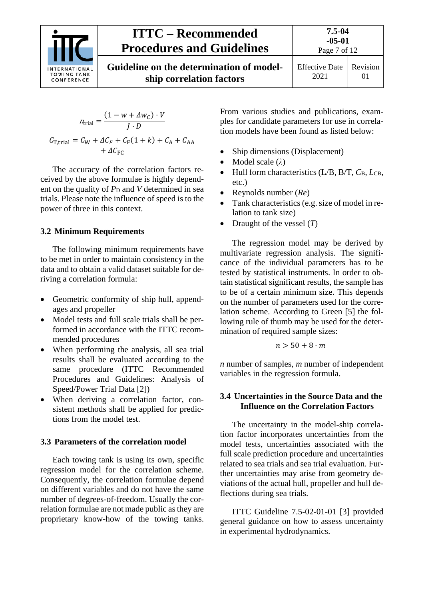

# **ITTC – Recommended Procedures and Guidelines**

**Guideline on the determination of modelship correlation factors**

$$
n_{\text{trial}} = \frac{(1 - w + \Delta w_C) \cdot V}{J \cdot D}
$$

$$
C_{\text{T,trial}} = C_{\text{W}} + \Delta C_F + C_{\text{F}}(1 + k) + C_{\text{A}} + C_{\text{AA}}
$$

$$
+ \Delta C_{\text{FC}}
$$

The accuracy of the correlation factors received by the above formulae is highly dependent on the quality of  $P_D$  and *V* determined in sea trials. Please note the influence of speed is to the power of three in this context.

# <span id="page-6-0"></span>**3.2 Minimum Requirements**

The following minimum requirements have to be met in order to maintain consistency in the data and to obtain a valid dataset suitable for deriving a correlation formula:

- Geometric conformity of ship hull, appendages and propeller
- Model tests and full scale trials shall be performed in accordance with the ITTC recommended procedures
- When performing the analysis, all sea trial results shall be evaluated according to the same procedure (ITTC Recommended Procedures and Guidelines: Analysis of Speed/Power Trial Data [2])
- When deriving a correlation factor, consistent methods shall be applied for predictions from the model test.

# <span id="page-6-1"></span>**3.3 Parameters of the correlation model**

Each towing tank is using its own, specific regression model for the correlation scheme. Consequently, the correlation formulae depend on different variables and do not have the same number of degrees-of-freedom. Usually the correlation formulae are not made public as they are proprietary know-how of the towing tanks. From various studies and publications, examples for candidate parameters for use in correlation models have been found as listed below:

- Ship dimensions (Displacement)
- Model scale (*λ*)
- Hull form characteristics (L/B, B/T, *C*B, *L*CB, etc.)
- Reynolds number (*Re*)
- Tank characteristics (e.g. size of model in relation to tank size)
- Draught of the vessel (*T*)

The regression model may be derived by multivariate regression analysis. The significance of the individual parameters has to be tested by statistical instruments. In order to obtain statistical significant results, the sample has to be of a certain minimum size. This depends on the number of parameters used for the correlation scheme. According to Green [5] the following rule of thumb may be used for the determination of required sample sizes:

$$
n>50+8\cdot m
$$

*n* number of samples, *m* number of independent variables in the regression formula.

# <span id="page-6-2"></span>**3.4 Uncertainties in the Source Data and the Influence on the Correlation Factors**

The uncertainty in the model-ship correlation factor incorporates uncertainties from the model tests, uncertainties associated with the full scale prediction procedure and uncertainties related to sea trials and sea trial evaluation. Further uncertainties may arise from geometry deviations of the actual hull, propeller and hull deflections during sea trials.

ITTC Guideline 7.5-02-01-01 [3] provided general guidance on how to assess uncertainty in experimental hydrodynamics.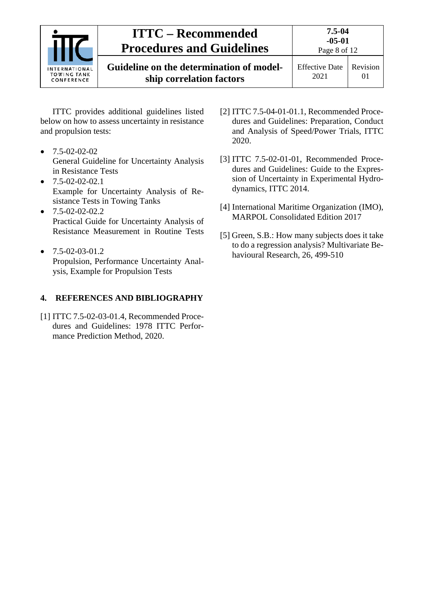| <b>INTERNATIONAL</b><br><b>TOWING TANK</b><br>CONFERENCE | <b>ITTC – Recommended</b><br><b>Procedures and Guidelines</b>        | 7.5-04<br>$-05-01$<br>Page 8 of 12 |          |
|----------------------------------------------------------|----------------------------------------------------------------------|------------------------------------|----------|
|                                                          | Guideline on the determination of model-<br>ship correlation factors | <b>Effective Date</b><br>2021      | Revision |

ITTC provides additional guidelines listed below on how to assess uncertainty in resistance and propulsion tests:

- $\bullet$  7.5-02-02-02 General Guideline for Uncertainty Analysis in Resistance Tests
- $\bullet$  7.5-02-02-02.1 Example for Uncertainty Analysis of Resistance Tests in Towing Tanks
- $\bullet$  7.5-02-02-02.2 Practical Guide for Uncertainty Analysis of Resistance Measurement in Routine Tests
- $\bullet$  7.5-02-03-01.2 Propulsion, Performance Uncertainty Analysis, Example for Propulsion Tests

# <span id="page-7-0"></span>**4. REFERENCES AND BIBLIOGRAPHY**

[1] ITTC 7.5-02-03-01.4, Recommended Procedures and Guidelines: 1978 ITTC Performance Prediction Method, 2020.

- [2] ITTC 7.5-04-01-01.1, Recommended Procedures and Guidelines: Preparation, Conduct and Analysis of Speed/Power Trials, ITTC 2020.
- [3] ITTC 7.5-02-01-01, Recommended Procedures and Guidelines: Guide to the Expression of Uncertainty in Experimental Hydrodynamics, ITTC 2014.
- [4] International Maritime Organization (IMO), MARPOL Consolidated Edition 2017
- [5] Green, S.B.: How many subjects does it take to do a regression analysis? Multivariate Behavioural Research, 26, 499-510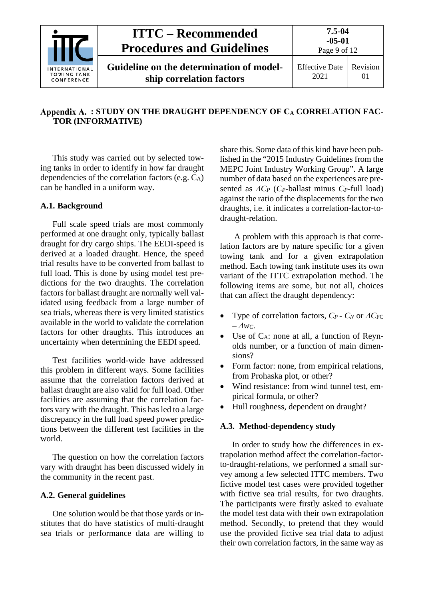

# <span id="page-8-0"></span>**: STUDY ON THE DRAUGHT DEPENDENCY OF CA CORRELATION FAC-TOR (INFORMATIVE)**

This study was carried out by selected towing tanks in order to identify in how far draught dependencies of the correlation factors (e.g.  $\tilde{C}_A$ ) can be handled in a uniform way.

# <span id="page-8-1"></span>**A.1. Background**

Full scale speed trials are most commonly performed at one draught only, typically ballast draught for dry cargo ships. The EEDI-speed is derived at a loaded draught. Hence, the speed trial results have to be converted from ballast to full load. This is done by using model test predictions for the two draughts. The correlation factors for ballast draught are normally well validated using feedback from a large number of sea trials, whereas there is very limited statistics available in the world to validate the correlation factors for other draughts. This introduces an uncertainty when determining the EEDI speed.

Test facilities world-wide have addressed this problem in different ways. Some facilities assume that the correlation factors derived at ballast draught are also valid for full load. Other facilities are assuming that the correlation factors vary with the draught. This has led to a large discrepancy in the full load speed power predictions between the different test facilities in the world.

The question on how the correlation factors vary with draught has been discussed widely in the community in the recent past.

#### <span id="page-8-2"></span>**A.2. General guidelines**

One solution would be that those yards or institutes that do have statistics of multi-draught sea trials or performance data are willing to

share this. Some data of this kind have been published in the "2015 Industry Guidelines from the MEPC Joint Industry Working Group". A large number of data based on the experiences are presented as *ΔCP* (*CP*-ballast minus *CP*-full load) against the ratio of the displacements for the two draughts, i.e. it indicates a correlation-factor-todraught-relation.

A problem with this approach is that correlation factors are by nature specific for a given towing tank and for a given extrapolation method. Each towing tank institute uses its own variant of the ITTC extrapolation method. The following items are some, but not all, choices that can affect the draught dependency:

- Type of correlation factors, *CP CN* or *ΔC*FC  $-\Delta w_c$ .
- Use of CA: none at all, a function of Reynolds number, or a function of main dimensions?
- Form factor: none, from empirical relations, from Prohaska plot, or other?
- Wind resistance: from wind tunnel test, empirical formula, or other?
- Hull roughness, dependent on draught?

#### <span id="page-8-3"></span>**A.3. Method-dependency study**

In order to study how the differences in extrapolation method affect the correlation-factorto-draught-relations, we performed a small survey among a few selected ITTC members. Two fictive model test cases were provided together with fictive sea trial results, for two draughts. The participants were firstly asked to evaluate the model test data with their own extrapolation method. Secondly, to pretend that they would use the provided fictive sea trial data to adjust their own correlation factors, in the same way as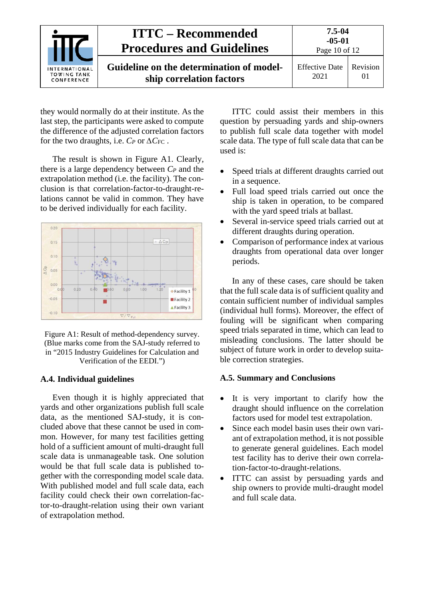| <b>INTERNATIONAL</b><br><b>TOWING TANK</b><br>CONFERENCE | <b>ITTC – Recommended</b><br><b>Procedures and Guidelines</b>        | $7.5 - 04$<br>$-05-01$<br>Page 10 of 12 |                      |
|----------------------------------------------------------|----------------------------------------------------------------------|-----------------------------------------|----------------------|
|                                                          | Guideline on the determination of model-<br>ship correlation factors | <b>Effective Date</b><br>2021           | Revision<br>$\Omega$ |

they would normally do at their institute. As the last step, the participants were asked to compute the difference of the adjusted correlation factors for the two draughts, i.e.  $C_P$  or  $\Delta C_F$ c.

The result is shown in Figure A1. Clearly, there is a large dependency between  $C_P$  and the extrapolation method (i.e. the facility). The conclusion is that correlation-factor-to-draught-relations cannot be valid in common. They have to be derived individually for each facility.



Figure A1: Result of method-dependency survey. (Blue marks come from the SAJ-study referred to in "2015 Industry Guidelines for Calculation and Verification of the EEDI.")

## <span id="page-9-0"></span>**A.4. Individual guidelines**

Even though it is highly appreciated that yards and other organizations publish full scale data, as the mentioned SAJ-study, it is concluded above that these cannot be used in common. However, for many test facilities getting hold of a sufficient amount of multi-draught full scale data is unmanageable task. One solution would be that full scale data is published together with the corresponding model scale data. With published model and full scale data, each facility could check their own correlation-factor-to-draught-relation using their own variant of extrapolation method.

ITTC could assist their members in this question by persuading yards and ship-owners to publish full scale data together with model scale data. The type of full scale data that can be used is:

- Speed trials at different draughts carried out in a sequence.
- Full load speed trials carried out once the ship is taken in operation, to be compared with the yard speed trials at ballast.
- Several in-service speed trials carried out at different draughts during operation.
- Comparison of performance index at various draughts from operational data over longer periods.

In any of these cases, care should be taken that the full scale data is of sufficient quality and contain sufficient number of individual samples (individual hull forms). Moreover, the effect of fouling will be significant when comparing speed trials separated in time, which can lead to misleading conclusions. The latter should be subject of future work in order to develop suitable correction strategies.

#### <span id="page-9-1"></span>**A.5. Summary and Conclusions**

- It is very important to clarify how the draught should influence on the correlation factors used for model test extrapolation.
- Since each model basin uses their own variant of extrapolation method, it is not possible to generate general guidelines. Each model test facility has to derive their own correlation-factor-to-draught-relations.
- ITTC can assist by persuading yards and ship owners to provide multi-draught model and full scale data.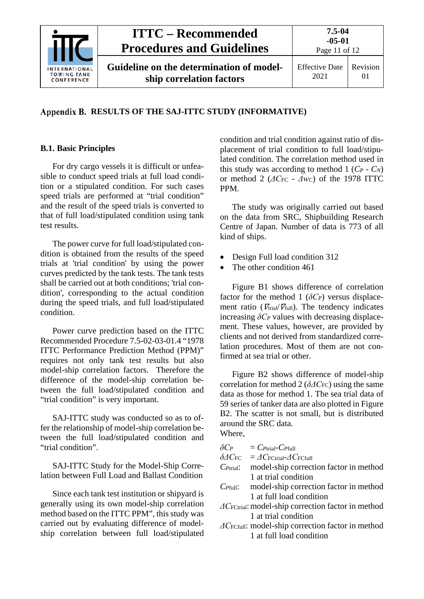

# <span id="page-10-0"></span>**RESULTS OF THE SAJ-ITTC STUDY (INFORMATIVE)**

## <span id="page-10-1"></span>**B.1. Basic Principles**

For dry cargo vessels it is difficult or unfeasible to conduct speed trials at full load condition or a stipulated condition. For such cases speed trials are performed at "trial condition" and the result of the speed trials is converted to that of full load/stipulated condition using tank test results.

The power curve for full load/stipulated condition is obtained from the results of the speed trials at 'trial condition' by using the power curves predicted by the tank tests. The tank tests shall be carried out at both conditions; 'trial condition', corresponding to the actual condition during the speed trials, and full load/stipulated condition.

Power curve prediction based on the ITTC Recommended Procedure 7.5-02-03-01.4 "1978 ITTC Performance Prediction Method (PPM)" requires not only tank test results but also model-ship correlation factors. Therefore the difference of the model-ship correlation between the full load/stipulated condition and "trial condition" is very important.

SAJ-ITTC study was conducted so as to offer the relationship of model-ship correlation between the full load/stipulated condition and "trial condition".

SAJ-ITTC Study for the Model-Ship Correlation between Full Load and Ballast Condition

Since each tank test institution or shipyard is generally using its own model-ship correlation method based on the ITTC PPM", this study was carried out by evaluating difference of modelship correlation between full load/stipulated condition and trial condition against ratio of displacement of trial condition to full load/stipulated condition. The correlation method used in this study was according to method  $1$  ( $C_P$  -  $C_N$ ) or method 2 ( $\Delta C_{\text{FC}}$  -  $\Delta w_C$ ) of the 1978 ITTC PPM.

The study was originally carried out based on the data from SRC, Shipbuilding Research Centre of Japan. Number of data is 773 of all kind of ships.

- Design Full load condition 312
- The other condition 461

Figure B1 shows difference of correlation factor for the method 1 ( $\delta C_P$ ) versus displacement ratio ( $V<sub>trial</sub>/V<sub>full</sub>$ ). The tendency indicates increasing  $\delta C_P$  values with decreasing displacement. These values, however, are provided by clients and not derived from standardized correlation procedures. Most of them are not confirmed at sea trial or other.

Figure B2 shows difference of model-ship correlation for method 2 (*δΔC*FC) using the same data as those for method 1. The sea trial data of 59 series of tanker data are also plotted in Figure B2. The scatter is not small, but is distributed around the SRC data. Where,

 $\delta C_P = C_{\text{Prial}} - C_{\text{Prill}}$ 

 $δ$ *AC*<sub>FC</sub> =  $AC$ <sub>FCtrial</sub>- $AC$ <sub>FCfull</sub>

- *CP*trial: model-ship correction factor in method 1 at trial condition
- *CP*full: model-ship correction factor in method 1 at full load condition
- *ΔC*<sub>FCtrial</sub>: model-ship correction factor in method 1 at trial condition
- *ΔC*FCfull: model-ship correction factor in method 1 at full load condition